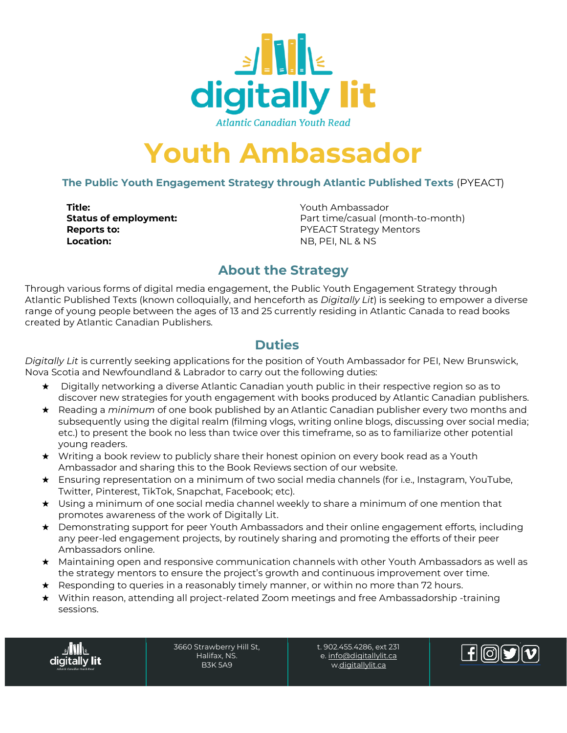

**Atlantic Canadian Youth Read** 

# **Youth Ambassador**

### **The Public Youth Engagement Strategy through Atlantic Published Texts** (PYEACT)

**Title:**<br> **Status of employment:**<br> **Status of employment:**<br> **P**art time/casual (m **Location:** NB, PEI, NL & NS

Part time/casual (month-to-month) **Reports to: PYEACT Strategy Mentors** 

## **About the Strategy**

Through various forms of digital media engagement, the Public Youth Engagement Strategy through Atlantic Published Texts (known colloquially, and henceforth as *Digitally Lit*) is seeking to empower a diverse range of young people between the ages of 13 and 25 currently residing in Atlantic Canada to read books created by Atlantic Canadian Publishers.

## **Duties**

*Digitally Lit* is currently seeking applications for the position of Youth Ambassador for PEI, New Brunswick, Nova Scotia and Newfoundland & Labrador to carry out the following duties:

- ★ Digitally networking a diverse Atlantic Canadian youth public in their respective region so as to discover new strategies for youth engagement with books produced by Atlantic Canadian publishers.
- ★ Reading a *minimum* of one book published by an Atlantic Canadian publisher every two months and subsequently using the digital realm (filming vlogs, writing online blogs, discussing over social media; etc.) to present the book no less than twice over this timeframe, so as to familiarize other potential young readers.
- ★ Writing a book review to publicly share their honest opinion on every book read as a Youth Ambassador and sharing this to the Book Reviews section of our website.
- ★ Ensuring representation on a minimum of two social media channels (for i.e., Instagram, YouTube, Twitter, Pinterest, TikTok, Snapchat, Facebook; etc).
- ★ Using a minimum of one social media channel weekly to share a minimum of one mention that promotes awareness of the work of Digitally Lit.
- ★ Demonstrating support for peer Youth Ambassadors and their online engagement efforts, including any peer-led engagement projects, by routinely sharing and promoting the efforts of their peer Ambassadors online.
- ★ Maintaining open and responsive communication channels with other Youth Ambassadors as well as the strategy mentors to ensure the project's growth and continuous improvement over time.
- ★ Responding to queries in a reasonably timely manner, or within no more than 72 hours.
- ★ Within reason, attending all project-related Zoom meetings and free Ambassadorship -training sessions.

digitally **lit** 

3660 Strawberry Hill St, Halifax, NS. B3K 5A9

t. 902.455.4286, ext 231 e[. info@digitallylit.ca](mailto:info@digitallylit.ca) [w.digitallylit.ca](http://www.digitallylit.ca/)